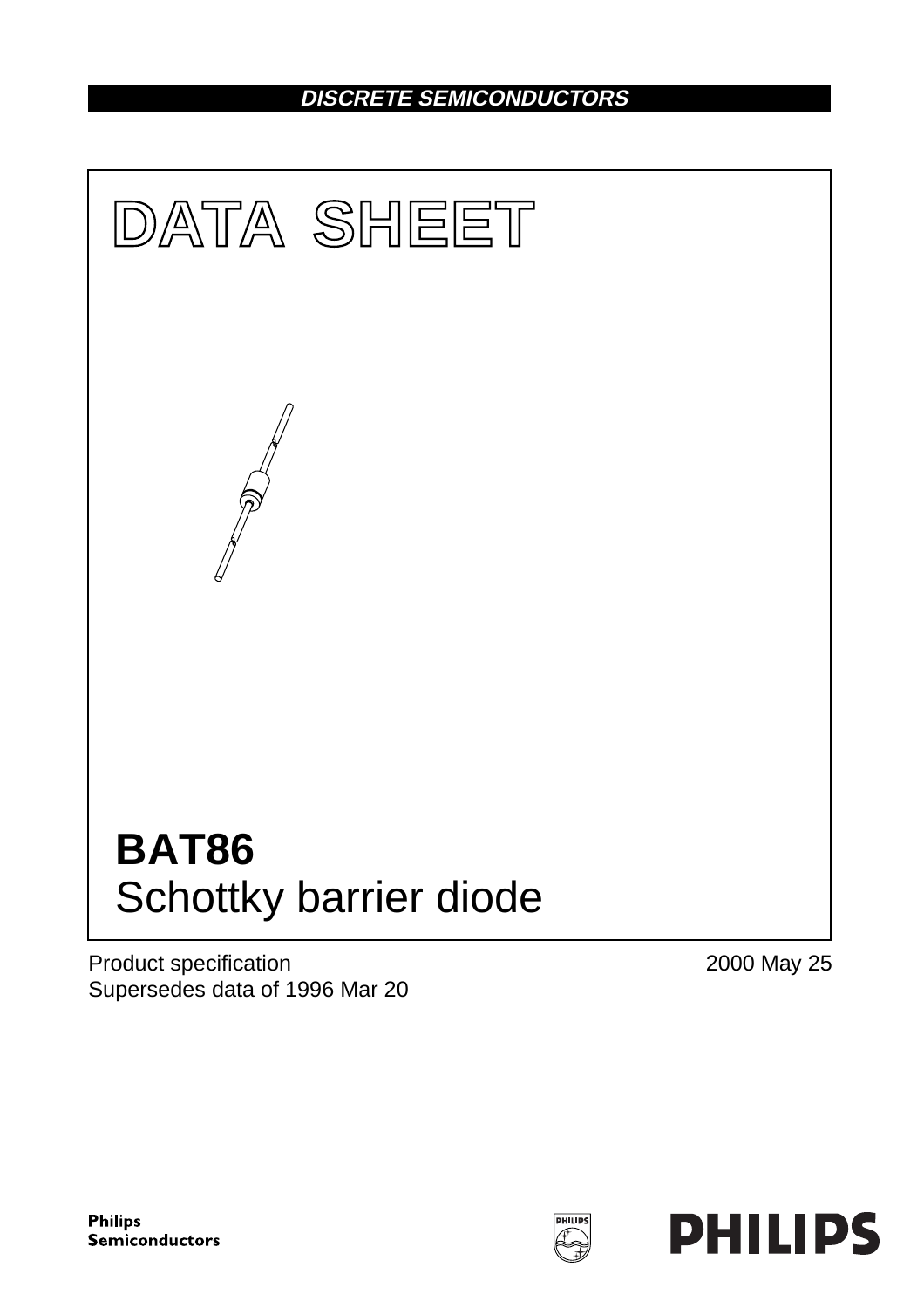# **DISCRETE SEMICONDUCTORS**



Product specification Supersedes data of 1996 Mar 20 2000 May 25

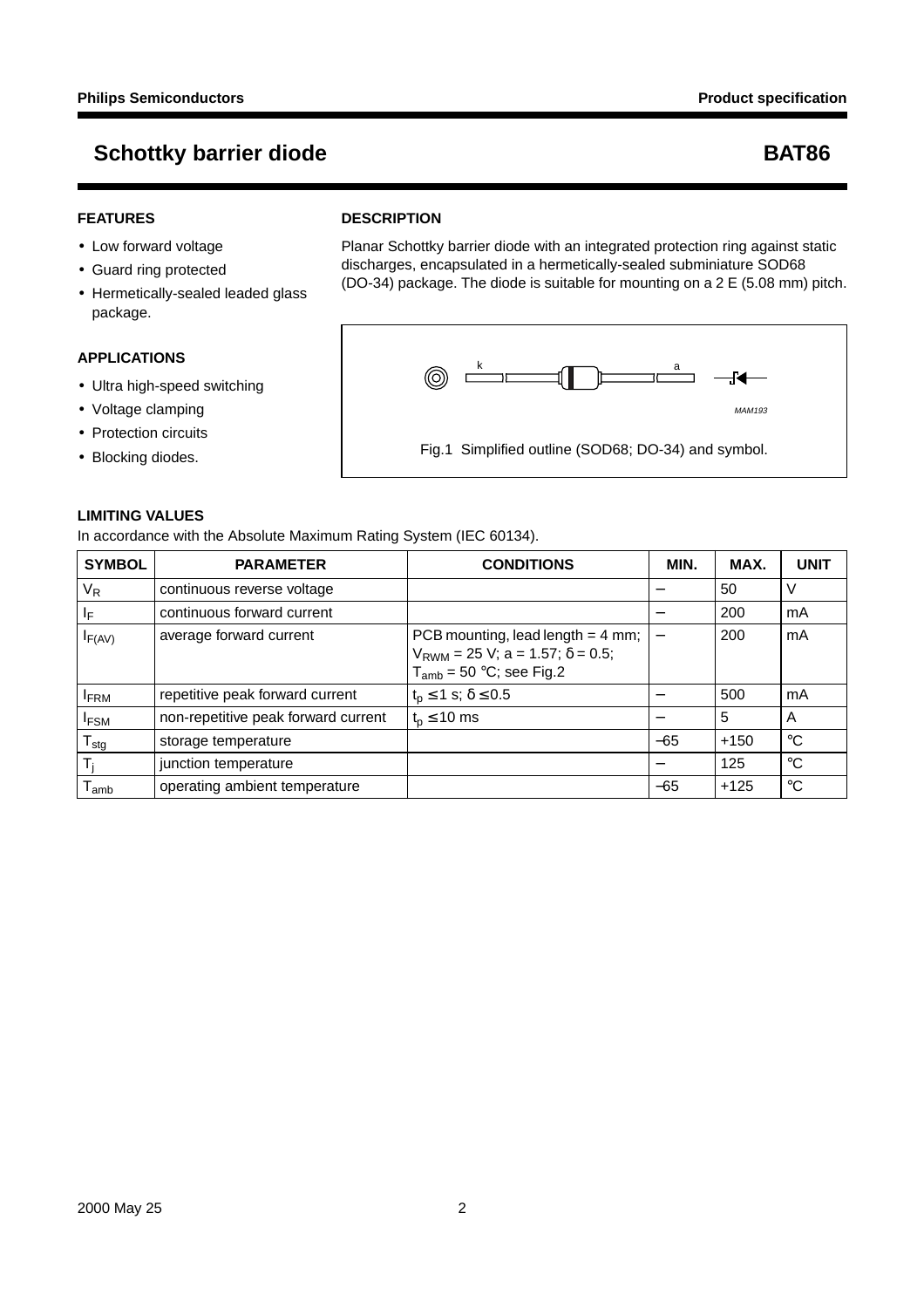#### **FEATURES**

- Low forward voltage
- Guard ring protected
- Hermetically-sealed leaded glass package.

#### **APPLICATIONS**

- Ultra high-speed switching
- Voltage clamping
- Protection circuits
- Blocking diodes.

#### **LIMITING VALUES**

In accordance with the Absolute Maximum Rating System (IEC 60134).

| <b>SYMBOL</b>              | <b>PARAMETER</b>                    | <b>CONDITIONS</b>                                                                                                  | MIN.                              | MAX.   | <b>UNIT</b> |
|----------------------------|-------------------------------------|--------------------------------------------------------------------------------------------------------------------|-----------------------------------|--------|-------------|
| V <sub>R</sub>             | continuous reverse voltage          |                                                                                                                    |                                   | 50     | V           |
| IF.                        | continuous forward current          |                                                                                                                    |                                   | 200    | mA          |
| IF(AV)                     | average forward current             | PCB mounting, lead length $=$ 4 mm;<br>$V_{RWM}$ = 25 V; a = 1.57; $\delta$ = 0.5;<br>$T_{amb}$ = 50 °C; see Fig.2 | $\overbrace{\phantom{123221111}}$ | 200    | mA          |
| <b>IFRM</b>                | repetitive peak forward current     | $t_0 \leq 1$ s; $\delta \leq 0.5$                                                                                  |                                   | 500    | mA          |
| <b>IFSM</b>                | non-repetitive peak forward current | $t_0 \leq 10$ ms                                                                                                   | —                                 | 5      | A           |
| ${\mathsf T}_{\text{stg}}$ | storage temperature                 |                                                                                                                    | $-65$                             | $+150$ | $^{\circ}C$ |
| T,                         | junction temperature                |                                                                                                                    |                                   | 125    | $^{\circ}C$ |
| l amb                      | operating ambient temperature       |                                                                                                                    | $-65$                             | $+125$ | $^{\circ}C$ |

### **DESCRIPTION**

Planar Schottky barrier diode with an integrated protection ring against static discharges, encapsulated in a hermetically-sealed subminiature SOD68 (DO-34) package. The diode is suitable for mounting on a 2 E (5.08 mm) pitch.



Fig.1 Simplified outline (SOD68; DO-34) and symbol.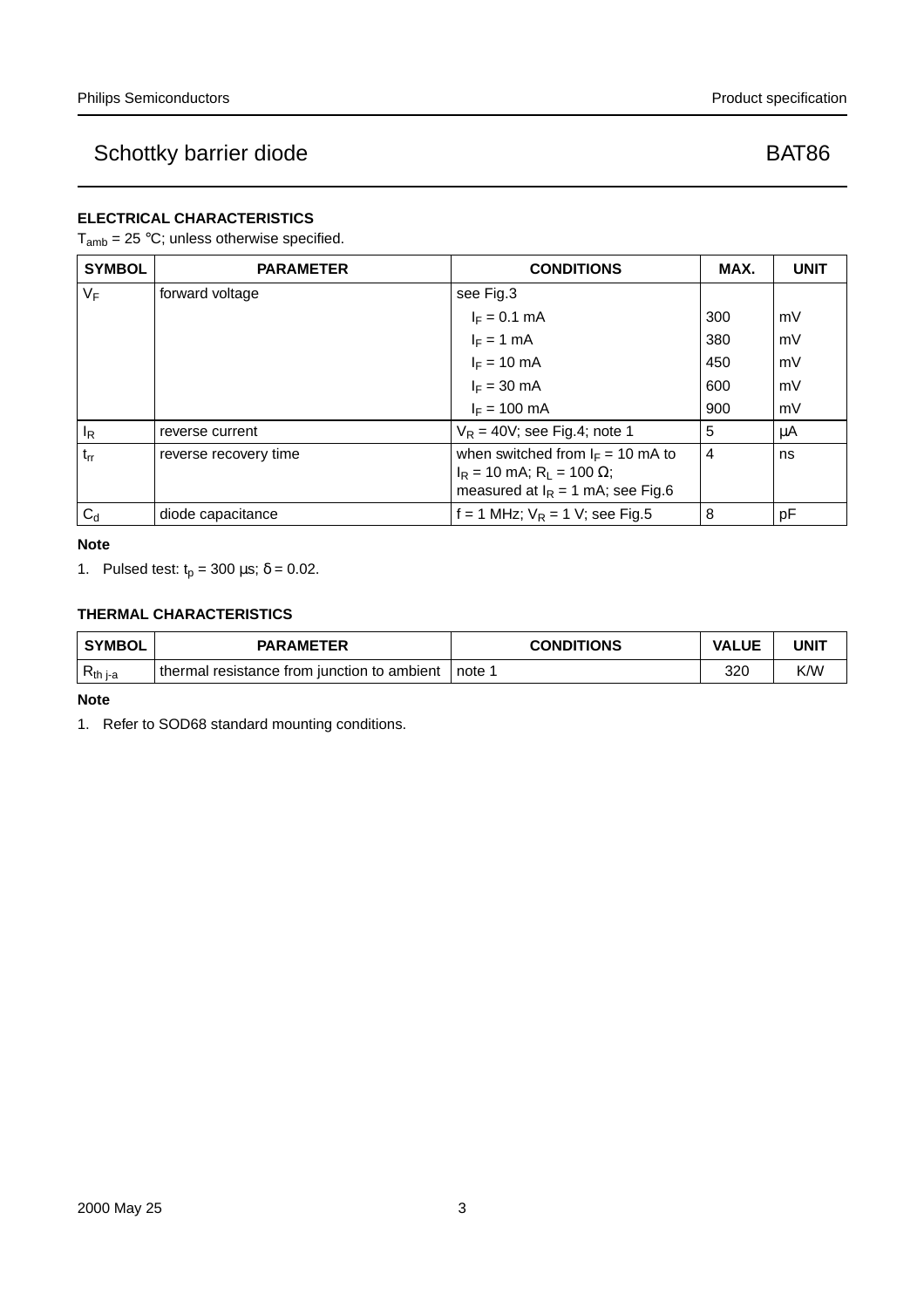### **ELECTRICAL CHARACTERISTICS**

### $T_{amb} = 25 °C$ ; unless otherwise specified.

| <b>SYMBOL</b> | <b>PARAMETER</b>      | <b>CONDITIONS</b>                                                                                                            | MAX.           | <b>UNIT</b> |
|---------------|-----------------------|------------------------------------------------------------------------------------------------------------------------------|----------------|-------------|
| $V_F$         | forward voltage       | see Fig.3                                                                                                                    |                |             |
|               |                       | $I_F = 0.1$ mA                                                                                                               | 300            | mV          |
|               |                       | $I_F = 1$ mA                                                                                                                 | 380            | mV          |
|               |                       | $I_F = 10$ mA                                                                                                                | 450            | mV          |
|               |                       | $I_F = 30$ mA                                                                                                                | 600            | mV          |
|               |                       | $I_F = 100 \text{ mA}$                                                                                                       | 900            | mV          |
| $I_R$         | reverse current       | $V_R = 40V$ ; see Fig.4; note 1                                                                                              | 5              | μA          |
| $t_{rr}$      | reverse recovery time | when switched from $I_F = 10$ mA to<br>$I_R$ = 10 mA; R <sub>L</sub> = 100 $\Omega$ ;<br>measured at $I_R = 1$ mA; see Fig.6 | $\overline{4}$ | ns          |
| $C_d$         | diode capacitance     | f = 1 MHz; $V_R$ = 1 V; see Fig.5                                                                                            | 8              | pF          |

**Note**

1. Pulsed test:  $t_p = 300 \mu s$ ;  $\delta = 0.02$ .

### **THERMAL CHARACTERISTICS**

| <b>SYMBOL</b> | <b>PARAMETER</b>                            | <b>CONDITIONS</b> | <b>VALUE</b>    | UNIT |
|---------------|---------------------------------------------|-------------------|-----------------|------|
| $R_{th\,i-a}$ | thermal resistance from junction to ambient | note 1            | 32 <sup>c</sup> | K/W  |

**Note**

1. Refer to SOD68 standard mounting conditions.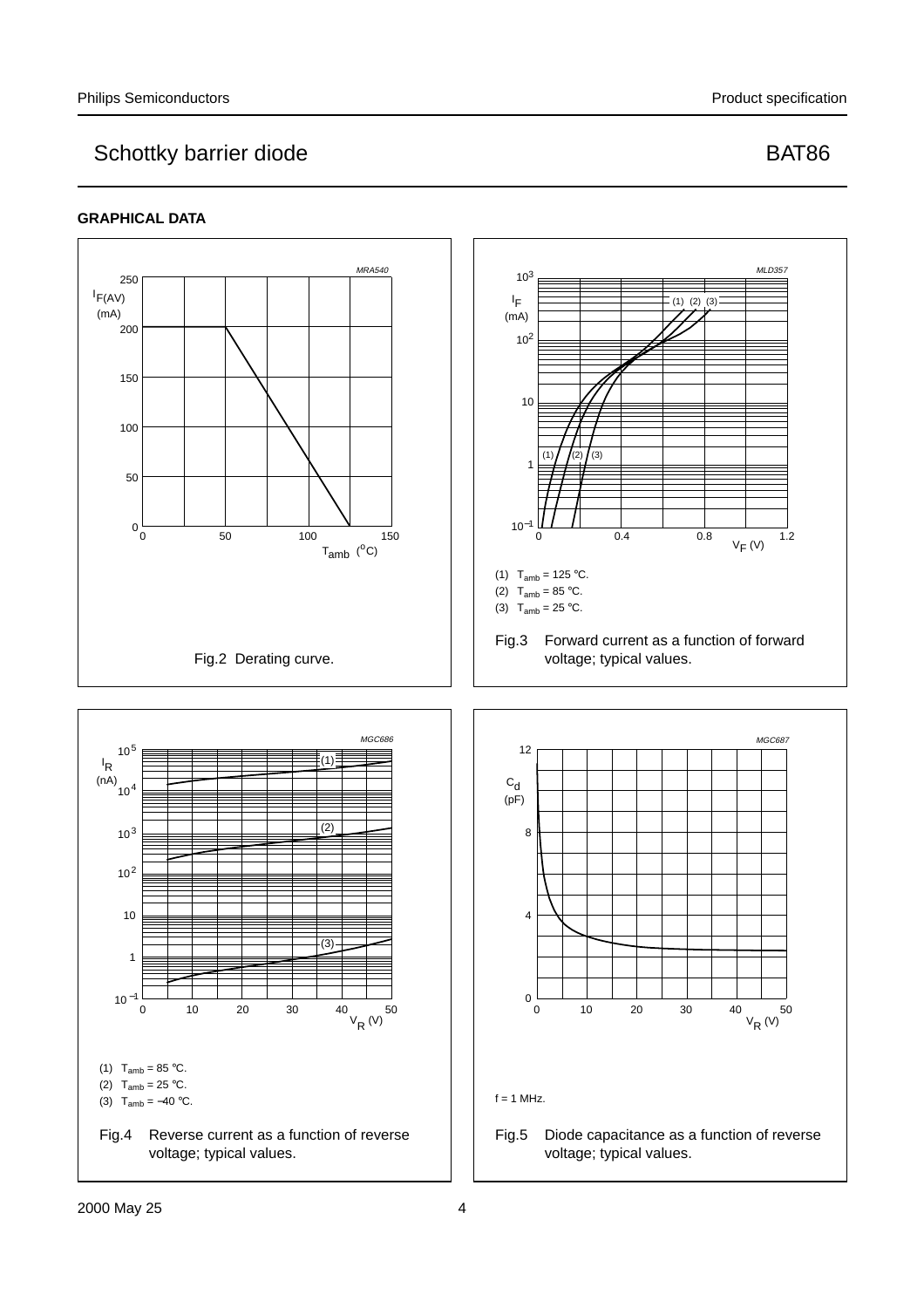#### **GRAPHICAL DATA**

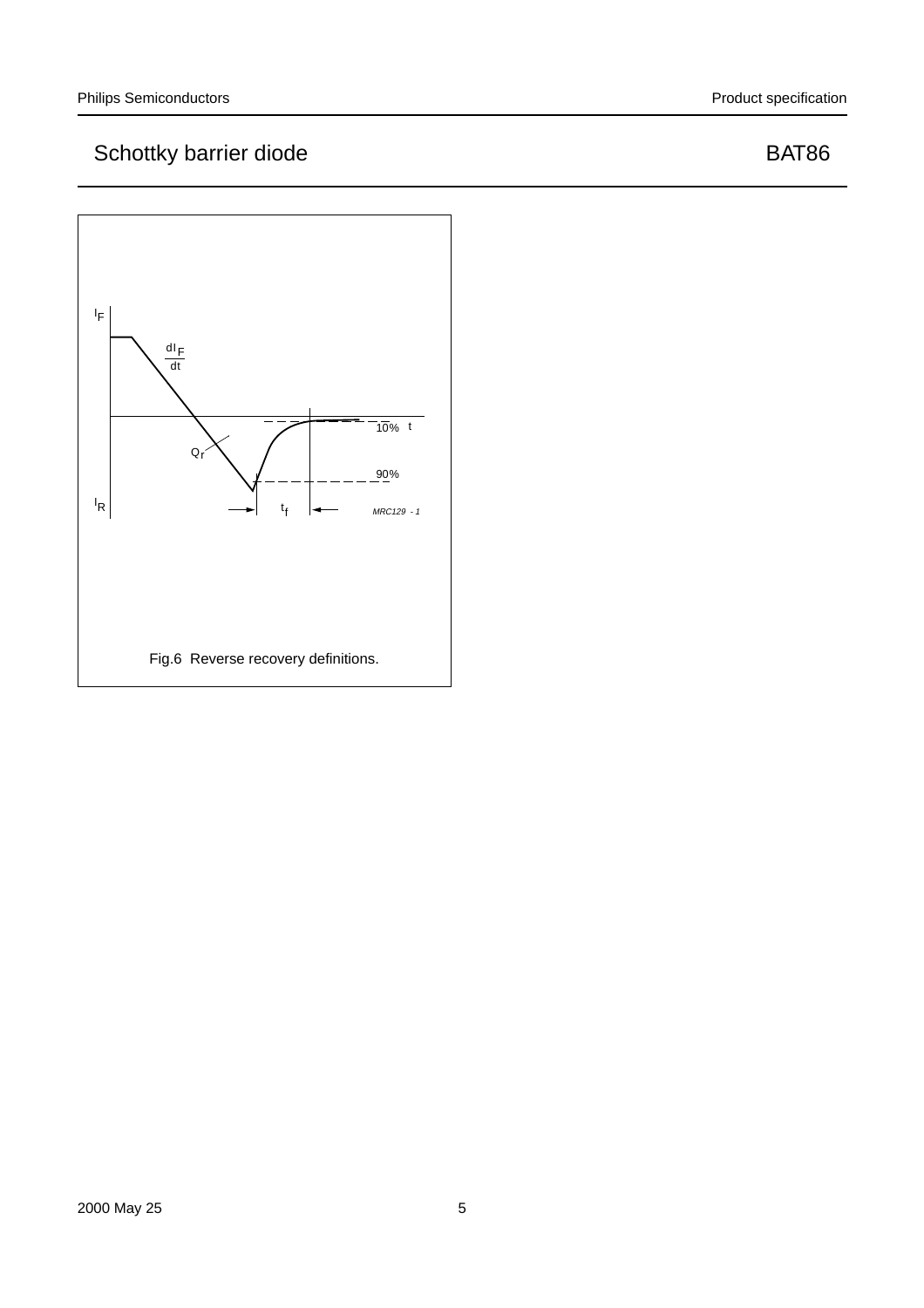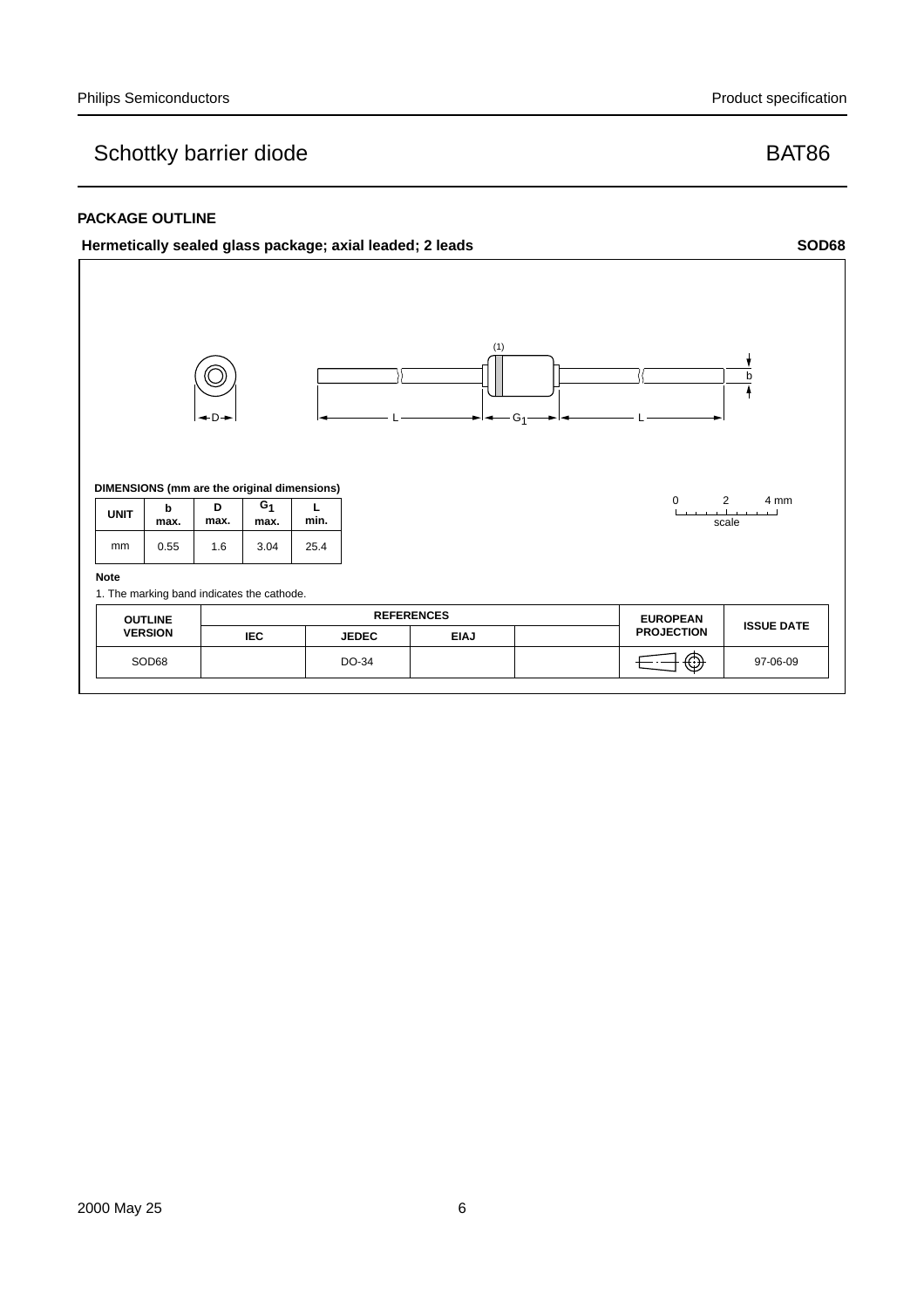#### **PACKAGE OUTLINE**

#### **Hermetically sealed glass package; axial leaded; 2 leads SOD68**

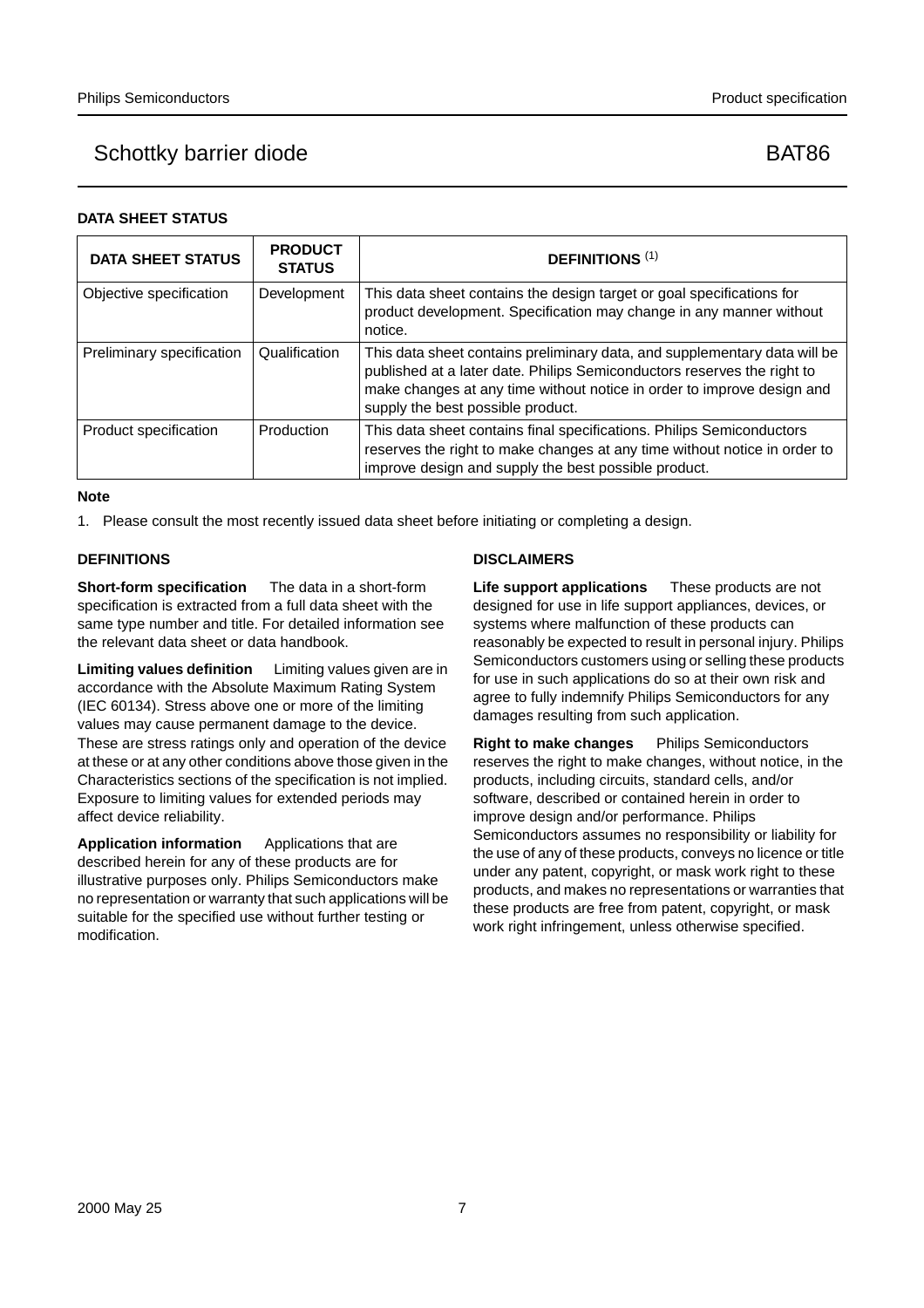#### **DATA SHEET STATUS**

| <b>DATA SHEET STATUS</b>  | <b>PRODUCT</b><br><b>STATUS</b> | <b>DEFINITIONS (1)</b>                                                                                                                                                                                                                                              |
|---------------------------|---------------------------------|---------------------------------------------------------------------------------------------------------------------------------------------------------------------------------------------------------------------------------------------------------------------|
| Objective specification   | Development                     | This data sheet contains the design target or goal specifications for<br>product development. Specification may change in any manner without<br>notice.                                                                                                             |
| Preliminary specification | Qualification                   | This data sheet contains preliminary data, and supplementary data will be<br>published at a later date. Philips Semiconductors reserves the right to<br>make changes at any time without notice in order to improve design and<br>supply the best possible product. |
| Product specification     | Production                      | This data sheet contains final specifications. Philips Semiconductors<br>reserves the right to make changes at any time without notice in order to<br>improve design and supply the best possible product.                                                          |

#### **Note**

1. Please consult the most recently issued data sheet before initiating or completing a design.

#### **DEFINITIONS**

**Short-form specification** — The data in a short-form specification is extracted from a full data sheet with the same type number and title. For detailed information see the relevant data sheet or data handbook.

**Limiting values definition** — Limiting values given are in accordance with the Absolute Maximum Rating System (IEC 60134). Stress above one or more of the limiting values may cause permanent damage to the device. These are stress ratings only and operation of the device at these or at any other conditions above those given in the Characteristics sections of the specification is not implied. Exposure to limiting values for extended periods may affect device reliability.

Application information Applications that are described herein for any of these products are for illustrative purposes only. Philips Semiconductors make no representation or warranty that such applications will be suitable for the specified use without further testing or modification.

#### **DISCLAIMERS**

**Life support applications** — These products are not designed for use in life support appliances, devices, or systems where malfunction of these products can reasonably be expected to result in personal injury. Philips Semiconductors customers using or selling these products for use in such applications do so at their own risk and agree to fully indemnify Philips Semiconductors for any damages resulting from such application.

**Right to make changes** - Philips Semiconductors reserves the right to make changes, without notice, in the products, including circuits, standard cells, and/or software, described or contained herein in order to improve design and/or performance. Philips Semiconductors assumes no responsibility or liability for the use of any of these products, conveys no licence or title under any patent, copyright, or mask work right to these products, and makes no representations or warranties that these products are free from patent, copyright, or mask work right infringement, unless otherwise specified.